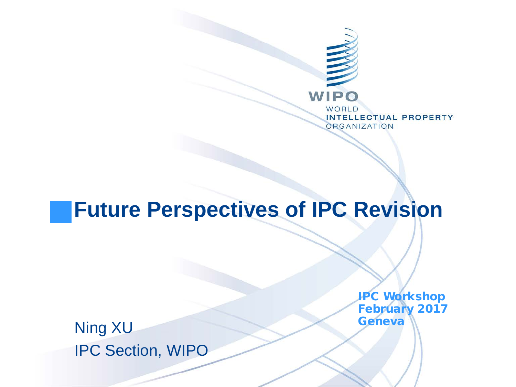

#### **Future Perspectives of IPC Revision**

IPC Workshop February 2017

Ning XU Geneva IPC Section, WIPO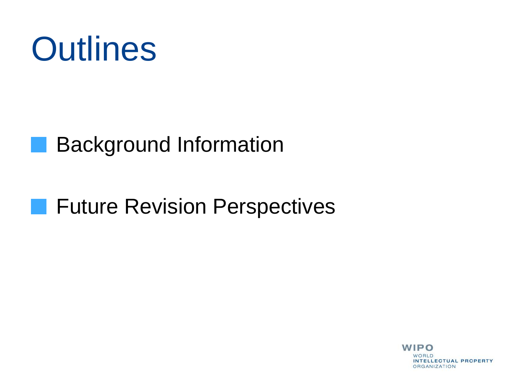

#### **Background Information**

#### **Future Revision Perspectives**

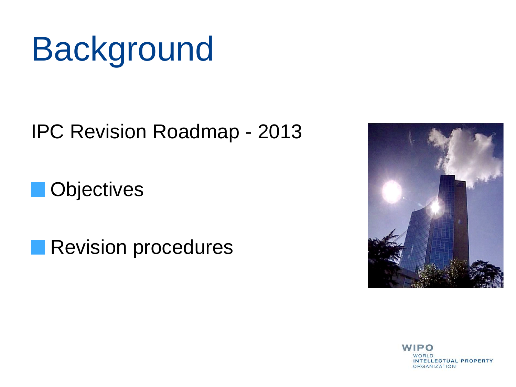# **Background**

IPC Revision Roadmap - 2013

**Objectives** 

Revision procedures



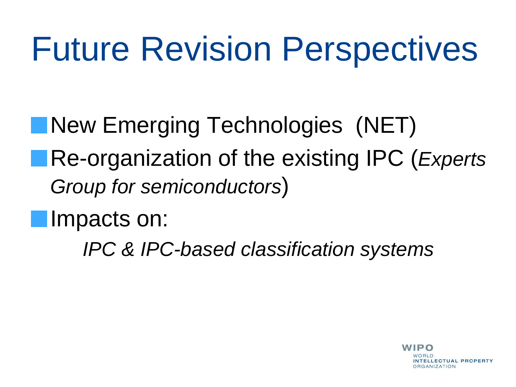# Future Revision Perspectives

**New Emerging Technologies (NET)** 

Re-organization of the existing IPC (*Experts Group for semiconductors*)

**Impacts on:** 

*IPC & IPC-based classification systems*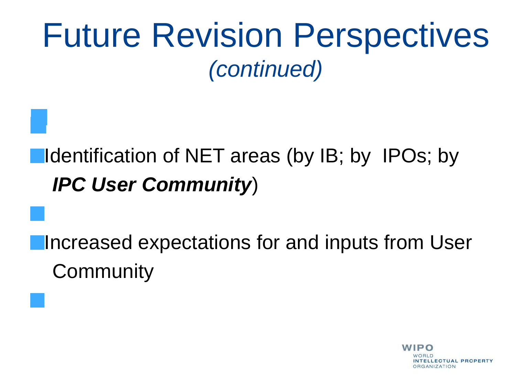#### ■Identification of NET areas (by IB; by IPOs; by  *IPC User Community*)

**Increased expectations for and inputs from User Community** 

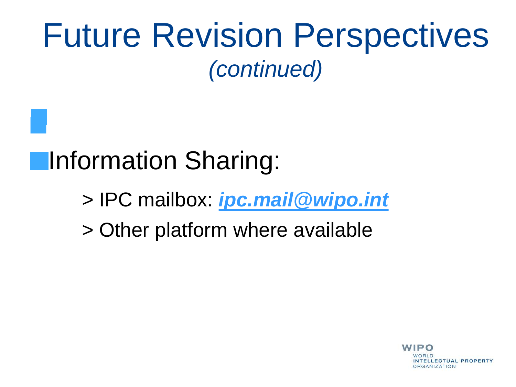### **Information Sharing:**

- > IPC mailbox: *[ipc.mail@wipo.int](mailto:ipc.mail@wipo.int)*
- > Other platform where available

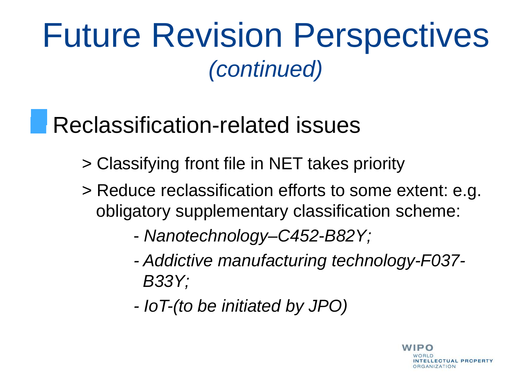### Reclassification-related issues

- > Classifying front file in NET takes priority
- > Reduce reclassification efforts to some extent: e.g. obligatory supplementary classification scheme:
	- *Nanotechnology–C452-B82Y;*
	- *- Addictive manufacturing technology-F037- B33Y;*
	- *- IoT-(to be initiated by JPO)*

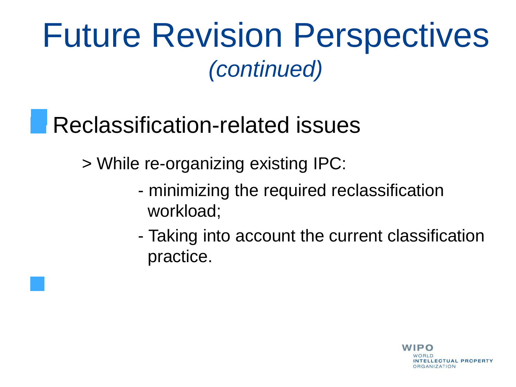### Reclassification-related issues

> While re-organizing existing IPC:

- minimizing the required reclassification workload;
- Taking into account the current classification practice.

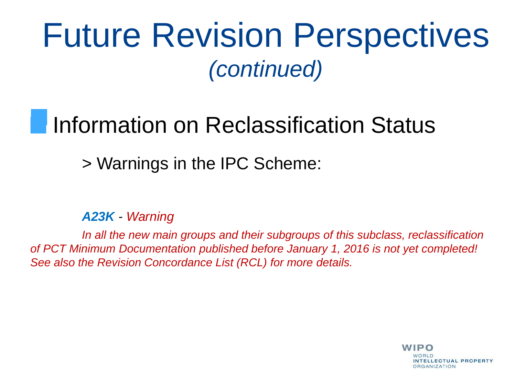### Information on Reclassification Status

#### > Warnings in the IPC Scheme:

*A23K - Warning*

 *In all the new main groups and their subgroups of this subclass, reclassification of PCT Minimum Documentation published before January 1, 2016 is not yet completed! See also the Revision Concordance List (RCL) for more details.*

> **WIPO ITELLECTUAL PROPERTY DRGANIZATION**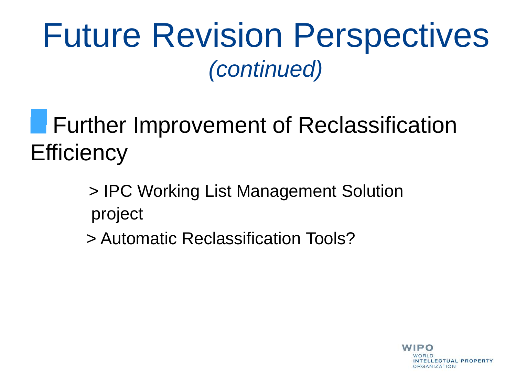**Further Improvement of Reclassification Efficiency** 

> > IPC Working List Management Solution project

> Automatic Reclassification Tools?

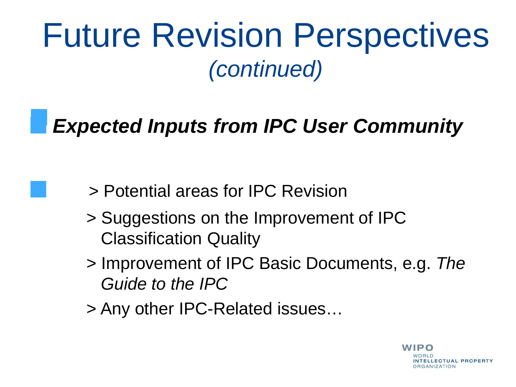*Expected Inputs from IPC User Community*

- > Potential areas for IPC Revision
- > Suggestions on the Improvement of IPC Classification Quality
- > Improvement of IPC Basic Documents, e.g. *The Guide to the IPC*
- > Any other IPC-Related issues…